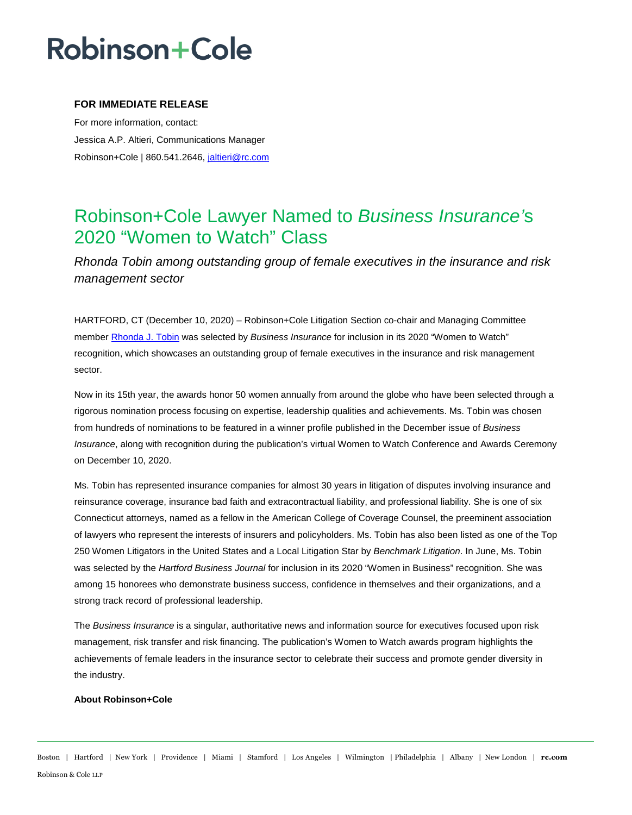# **Robinson+Cole**

### **FOR IMMEDIATE RELEASE**

For more information, contact: Jessica A.P. Altieri, Communications Manager Robinson+Cole | 860.541.2646, [jaltieri@rc.com](mailto:jaltieri@rc.com)

### Robinson+Cole Lawyer Named to *Business Insurance'*s 2020 "Women to Watch" Class

*Rhonda Tobin among outstanding group of female executives in the insurance and risk management sector* 

HARTFORD, CT (December 10, 2020) – Robinson+Cole Litigation Section co-chair and Managing Committee membe[r Rhonda J. Tobin](http://www.rc.com/people/RhondaJTobin.cfm) was selected by *Business Insurance* for inclusion in its 2020 "Women to Watch" recognition, which showcases an outstanding group of female executives in the insurance and risk management sector.

Now in its 15th year, the awards honor 50 women annually from around the globe who have been selected through a rigorous nomination process focusing on expertise, leadership qualities and achievements. Ms. Tobin was chosen from hundreds of nominations to be featured in a winner profile published in the December issue of *Business Insurance*, along with recognition during the publication's virtual Women to Watch Conference and Awards Ceremony on December 10, 2020.

Ms. Tobin has represented insurance companies for almost 30 years in litigation of disputes involving insurance and reinsurance coverage, insurance bad faith and extracontractual liability, and professional liability. She is one of six Connecticut attorneys, named as a fellow in the American College of Coverage Counsel, the preeminent association of lawyers who represent the interests of insurers and policyholders. Ms. Tobin has also been listed as one of the Top 250 Women Litigators in the United States and a Local Litigation Star by *Benchmark Litigation*. In June, Ms. Tobin was selected by the *Hartford Business Journal* for inclusion in its 2020 "Women in Business" recognition. She was among 15 honorees who demonstrate business success, confidence in themselves and their organizations, and a strong track record of professional leadership.

The *Business Insurance* is a singular, authoritative news and information source for executives focused upon risk management, risk transfer and risk financing. The publication's Women to Watch awards program highlights the achievements of female leaders in the insurance sector to celebrate their success and promote gender diversity in the industry.

#### **About Robinson+Cole**

Boston | Hartford | New York | Providence | Miami | Stamford | Los Angeles | Wilmington | Philadelphia | Albany | New London | **rc.com** Robinson & Cole LLP